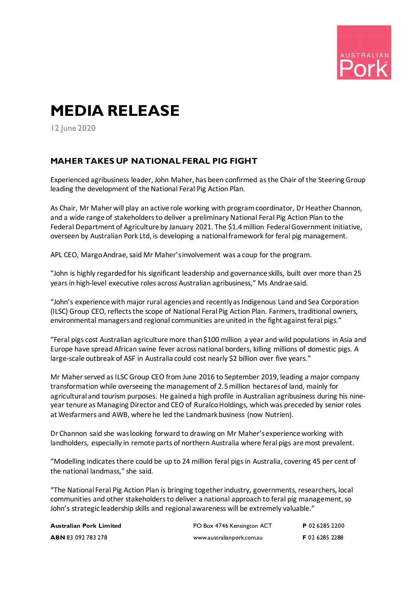

## **MEDIA RELEASE**

12 June 2020

## **MAHER TAKES UP NATIONAL FERAL PIG FIGHT**

Experienced agribusiness leader, John Maher, has been confirmed as the Chair of the Steering Group leading the development of the National Feral Pig Action Plan.

As Chair, Mr Maher will play an active role working with program coordinator, Dr Heather Channon, and a wide range of stakeholders to deliver a preliminary National Feral Pig Action Plan to the Federal Department of Agriculture by January 2021. The \$1.4 million Federal Government initiative, overseen by Australian Pork Ltd, is developing a national framework for feral pig management.

APL CEO, Margo Andrae, said Mr Maher's involvement was a coup for the program.

"John is highly regarded for his significant leadership and governance skills, built over more than 25 years in high-level executive roles across Australian agribusiness," Ms Andrae said.

"John's experience with major rural agencies and recently as Indigenous Land and Sea Corporation (ILSC) Group CEO, reflects the scope of National Feral Pig Action Plan. Farmers, traditional owners, environmental managers and regional communities are united in the fight against feral pigs."

"Feral pigs cost Australian agriculture more than \$100 million a year and wild populations in Asia and Europe have spread African swine fever across national borders, killing millions of domestic pigs. A large-scale outbreak of ASF in Australia could cost nearly \$2 billion over five years."

Mr Maher served as ILSC Group CEO from June 2016 to September 2019, leading a major company transformation while overseeing the management of 2.5 million hectares of land, mainly for agricultural and tourism purposes. He gained a high profile in Australian agribusiness during his nineyear tenure as Managing Director and CEO of Ruralco Holdings, which was preceded by senior roles at Wesfarmers and AWB, where he led the Landmark business (now Nutrien).

Dr Channon said she was looking forward to drawing on Mr Maher's experience working with landholders, especially in remote parts of northern Australia where feral pigs are most prevalent.

"Modelling indicates there could be up to 24 million feral pigs in Australia, covering 45 per cent of the national landmass," she said.

"The National Feral Pig Action Plan is bringing together industry, governments, researchers, local communities and other stakeholders to deliver a national approach to feral pig management, so John's strategic leadership skills and regional awareness will be extremely valuable."

| Australian Pork Limited   | PO Box 4746 Kensington ACT | P 02 6285 2200 |
|---------------------------|----------------------------|----------------|
| <b>ABN</b> 83 092 783 278 | www.australianpork.com.au  | F 02 6285 2288 |